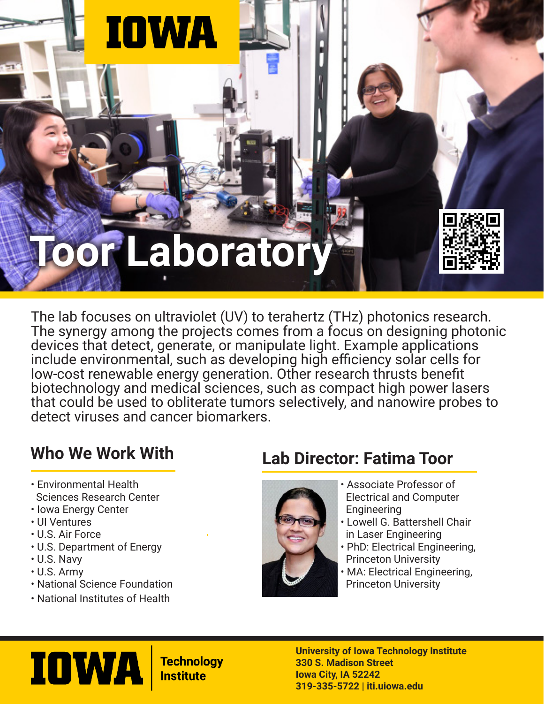

The lab focuses on ultraviolet (UV) to terahertz (THz) photonics research. The synergy among the projects comes from a focus on designing photonic devices that detect, generate, or manipulate light. Example applications include environmental, such as developing high efficiency solar cells for low-cost renewable energy generation. Other research thrusts benefit biotechnology and medical sciences, such as compact high power lasers that could be used to obliterate tumors selectively, and nanowire probes to detect viruses and cancer biomarkers.

- Environmental Health Sciences Research Center
- Iowa Energy Center
- UI Ventures
- U.S. Air Force
- U.S. Department of Energy
- U.S. Navy
- U.S. Army
- National Science Foundation
- National Institutes of Health

### **Who We Work With Lab Director: Fatima Toor**



- Associate Professor of Electrical and Computer Engineering
- Lowell G. Battershell Chair in Laser Engineering
- PhD: Electrical Engineering, Princeton University
- MA: Electrical Engineering, Princeton University



**Technology Institute** 

**University of Iowa Technology Institute 330 S. Madison Street Iowa City, IA 52242 319-335-5722 | iti.uiowa.edu**